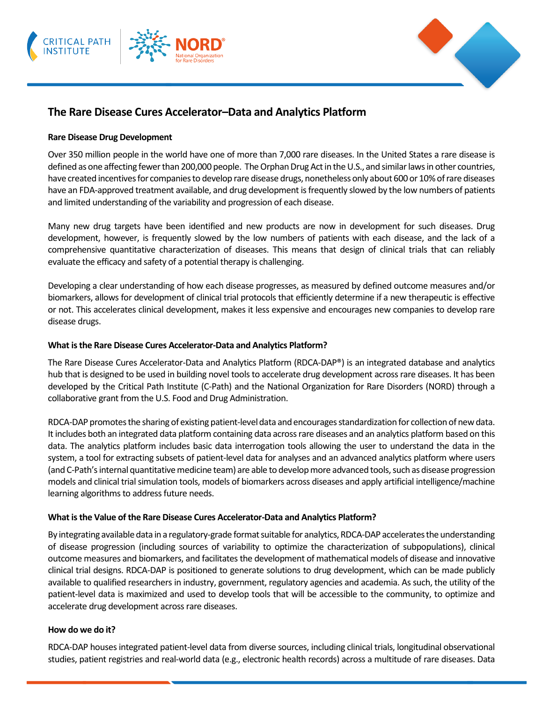



# **The Rare Disease Cures Accelerator–Data and Analytics Platform**

#### **Rare Disease Drug Development**

Over 350 million people in the world have one of more than 7,000 rare diseases. In the United States a rare disease is defined as one affecting fewer than 200,000 people. The Orphan Drug Act in the U.S., and similar laws in other countries, have created incentives for companies to develop rare disease drugs, nonetheless only about 600 or 10% of rare diseases have an FDA-approved treatment available, and drug development is frequently slowed by the low numbers of patients and limited understanding of the variability and progression of each disease.

Many new drug targets have been identified and new products are now in development for such diseases. Drug development, however, is frequently slowed by the low numbers of patients with each disease, and the lack of a comprehensive quantitative characterization of diseases. This means that design of clinical trials that can reliably evaluate the efficacy and safety of a potential therapy is challenging.

Developing a clear understanding of how each disease progresses, as measured by defined outcome measures and/or biomarkers, allows for development of clinical trial protocols that efficiently determine if a new therapeutic is effective or not. This accelerates clinical development, makes it less expensive and encourages new companies to develop rare disease drugs.

#### **What is the Rare Disease Cures Accelerator-Data and Analytics Platform?**

The Rare Disease Cures Accelerator-Data and Analytics Platform (RDCA-DAP®) is an integrated database and analytics hub that is designed to be used in building novel tools to accelerate drug development across rare diseases. It has been developed by the Critical Path Institute (C-Path) and the National Organization for Rare Disorders (NORD) through a collaborative grant from the U.S. Food and Drug Administration.

RDCA-DAP promotes the sharing of existing patient-level data and encourages standardization for collection of new data. It includes both an integrated data platform containing data across rare diseases and an analytics platform based on this data. The analytics platform includes basic data interrogation tools allowing the user to understand the data in the system, a tool for extracting subsets of patient-level data for analyses and an advanced analytics platform where users (and C-Path's internal quantitative medicine team) are able to develop more advanced tools, such as disease progression models and clinical trial simulation tools, models of biomarkers across diseases and apply artificial intelligence/machine learning algorithms to address future needs.

#### **What is the Value of the Rare Disease Cures Accelerator-Data and Analytics Platform?**

By integrating available data in a regulatory-grade format suitable for analytics, RDCA-DAP acceleratesthe understanding of disease progression (including sources of variability to optimize the characterization of subpopulations), clinical outcome measures and biomarkers, and facilitates the development of mathematical models of disease and innovative clinical trial designs. RDCA-DAP is positioned to generate solutions to drug development, which can be made publicly available to qualified researchers in industry, government, regulatory agencies and academia. As such, the utility of the patient-level data is maximized and used to develop tools that will be accessible to the community, to optimize and accelerate drug development across rare diseases.

#### **How do we do it?**

RDCA-DAP houses integrated patient-level data from diverse sources, including clinical trials, longitudinal observational studies, patient registries and real-world data (e.g., electronic health records) across a multitude of rare diseases. Data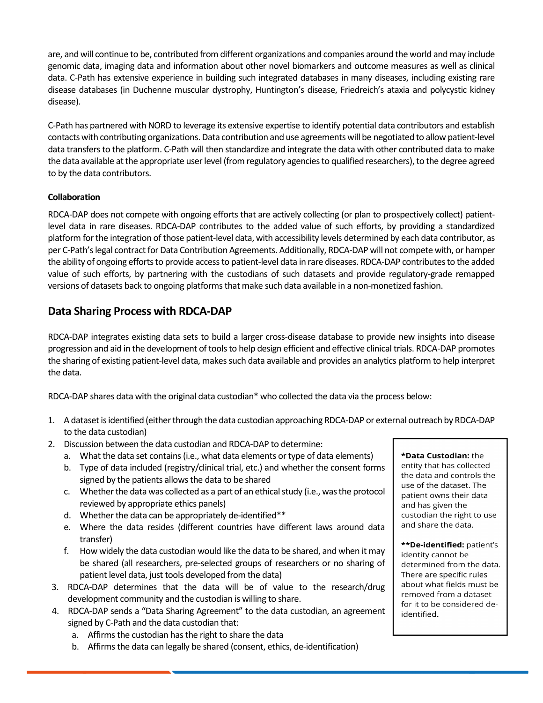are, and will continue to be, contributed from different organizations and companies around the world and may include genomic data, imaging data and information about other novel biomarkers and outcome measures as well as clinical data. C-Path has extensive experience in building such integrated databases in many diseases, including existing rare disease databases (in Duchenne muscular dystrophy, Huntington's disease, Friedreich's ataxia and polycystic kidney disease).

C-Path has partnered with NORD to leverage its extensive expertise to identify potential data contributors and establish contacts with contributing organizations. Data contribution and use agreements will be negotiated to allow patient-level data transfers to the platform. C-Path will then standardize and integrate the data with other contributed data to make the data available at the appropriate user level (from regulatory agencies to qualified researchers), to the degree agreed to by the data contributors.

### **Collaboration**

RDCA-DAP does not compete with ongoing efforts that are actively collecting (or plan to prospectively collect) patientlevel data in rare diseases. RDCA-DAP contributes to the added value of such efforts, by providing a standardized platform for the integration of those patient-level data, with accessibility levels determined by each data contributor, as per C-Path's legal contract for Data Contribution Agreements. Additionally, RDCA-DAP will not compete with, or hamper the ability of ongoing efforts to provide access to patient-level data in rare diseases. RDCA-DAP contributes to the added value of such efforts, by partnering with the custodians of such datasets and provide regulatory-grade remapped versions of datasets back to ongoing platforms that make such data available in a non-monetized fashion.

## **Data Sharing Process with RDCA-DAP**

RDCA-DAP integrates existing data sets to build a larger cross-disease database to provide new insights into disease progression and aid in the development of tools to help design efficient and effective clinical trials. RDCA-DAP promotes the sharing of existing patient-level data, makes such data available and provides an analytics platform to help interpret the data.

RDCA-DAP shares data with the original data custodian\* who collected the data via the process below:

- 1. A dataset is identified (either through the data custodian approaching RDCA-DAP or external outreach by RDCA-DAP to the data custodian)
- 2. Discussion between the data custodian and RDCA-DAP to determine:
	- a. What the data set contains (i.e., what data elements or type of data elements)
	- b. Type of data included (registry/clinical trial, etc.) and whether the consent forms signed by the patients allows the data to be shared
	- c. Whether the data was collected as a part of an ethical study (i.e., was the protocol reviewed by appropriate ethics panels)
	- d. Whether the data can be appropriately de-identified\*\*
	- e. Where the data resides (different countries have different laws around data transfer)
	- f. How widely the data custodian would like the data to be shared, and when it may be shared (all researchers, pre-selected groups of researchers or no sharing of patient level data, just tools developed from the data)
- 3. RDCA-DAP determines that the data will be of value to the research/drug development community and the custodian is willing to share.
- 4. RDCA-DAP sends a "Data Sharing Agreement" to the data custodian, an agreement signed by C-Path and the data custodian that:
	- a. Affirms the custodian has the right to share the data
	- b. Affirms the data can legally be shared (consent, ethics, de-identification)

\*Data Custodian: the entity that has collected the data and controls the use of the dataset. The patient owns their data and has given the custodian the right to use and share the data.

\*\*De-identified: patient's identity cannot be determined from the data. There are specific rules about what fields must be removed from a dataset for it to be considered deidentified.